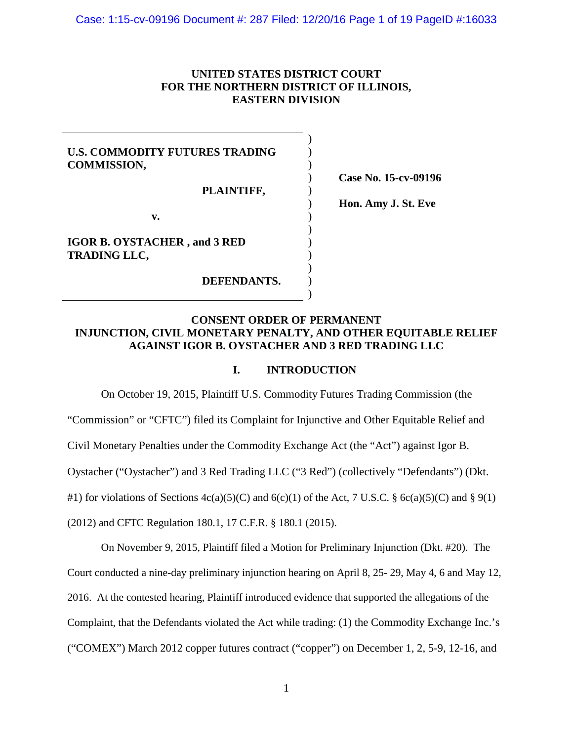# **UNITED STATES DISTRICT COURT FOR THE NORTHERN DISTRICT OF ILLINOIS, EASTERN DIVISION**

) ) ) ) ) ) ) ) ) ) ) ) )

# **U.S. COMMODITY FUTURES TRADING COMMISSION,**

**PLAINTIFF,** 

**Case No. 15-cv-09196** 

**Hon. Amy J. St. Eve** 

**v.**

**IGOR B. OYSTACHER , and 3 RED TRADING LLC,** 

**DEFENDANTS.**

# **CONSENT ORDER OF PERMANENT INJUNCTION, CIVIL MONETARY PENALTY, AND OTHER EQUITABLE RELIEF AGAINST IGOR B. OYSTACHER AND 3 RED TRADING LLC**

## **I. INTRODUCTION**

On October 19, 2015, Plaintiff U.S. Commodity Futures Trading Commission (the

"Commission" or "CFTC") filed its Complaint for Injunctive and Other Equitable Relief and

Civil Monetary Penalties under the Commodity Exchange Act (the "Act") against Igor B.

Oystacher ("Oystacher") and 3 Red Trading LLC ("3 Red") (collectively "Defendants") (Dkt.

#1) for violations of Sections  $4c(a)(5)(C)$  and  $6(c)(1)$  of the Act, 7 U.S.C. §  $6c(a)(5)(C)$  and § 9(1)

(2012) and CFTC Regulation 180.1, 17 C.F.R. § 180.1 (2015).

On November 9, 2015, Plaintiff filed a Motion for Preliminary Injunction (Dkt. #20). The Court conducted a nine-day preliminary injunction hearing on April 8, 25- 29, May 4, 6 and May 12, 2016. At the contested hearing, Plaintiff introduced evidence that supported the allegations of the Complaint, that the Defendants violated the Act while trading: (1) the Commodity Exchange Inc.'s ("COMEX") March 2012 copper futures contract ("copper") on December 1, 2, 5-9, 12-16, and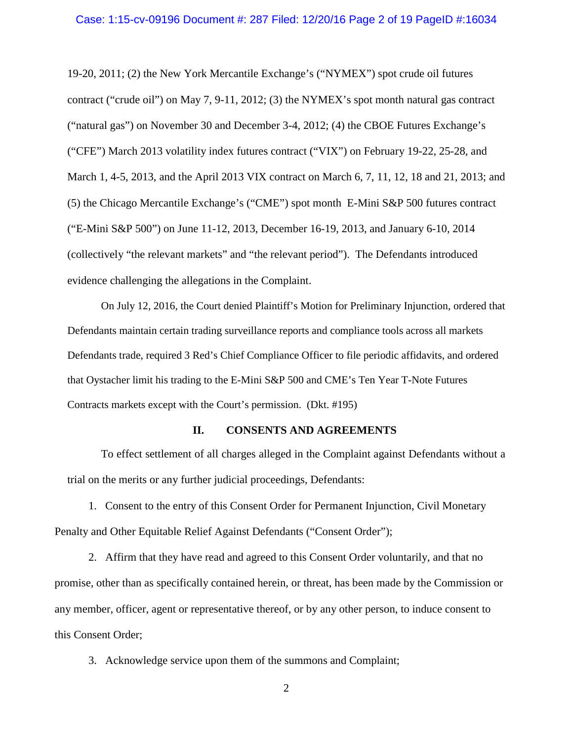#### Case: 1:15-cv-09196 Document #: 287 Filed: 12/20/16 Page 2 of 19 PageID #:16034

19-20, 2011; (2) the New York Mercantile Exchange's ("NYMEX") spot crude oil futures contract ("crude oil") on May 7, 9-11, 2012; (3) the NYMEX's spot month natural gas contract ("natural gas") on November 30 and December 3-4, 2012; (4) the CBOE Futures Exchange's ("CFE") March 2013 volatility index futures contract ("VIX") on February 19-22, 25-28, and March 1, 4-5, 2013, and the April 2013 VIX contract on March 6, 7, 11, 12, 18 and 21, 2013; and (5) the Chicago Mercantile Exchange's ("CME") spot month E-Mini S&P 500 futures contract ("E-Mini S&P 500") on June 11-12, 2013, December 16-19, 2013, and January 6-10, 2014 (collectively "the relevant markets" and "the relevant period"). The Defendants introduced evidence challenging the allegations in the Complaint.

On July 12, 2016, the Court denied Plaintiff's Motion for Preliminary Injunction, ordered that Defendants maintain certain trading surveillance reports and compliance tools across all markets Defendants trade, required 3 Red's Chief Compliance Officer to file periodic affidavits, and ordered that Oystacher limit his trading to the E-Mini S&P 500 and CME's Ten Year T-Note Futures Contracts markets except with the Court's permission. (Dkt. #195)

### **II. CONSENTS AND AGREEMENTS**

To effect settlement of all charges alleged in the Complaint against Defendants without a trial on the merits or any further judicial proceedings, Defendants:

1. Consent to the entry of this Consent Order for Permanent Injunction, Civil Monetary Penalty and Other Equitable Relief Against Defendants ("Consent Order");

2. Affirm that they have read and agreed to this Consent Order voluntarily, and that no promise, other than as specifically contained herein, or threat, has been made by the Commission or any member, officer, agent or representative thereof, or by any other person, to induce consent to this Consent Order;

3. Acknowledge service upon them of the summons and Complaint;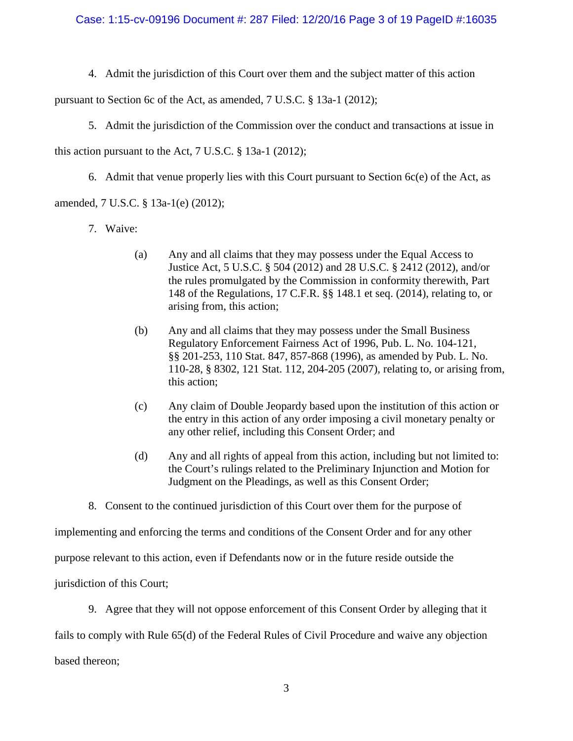4. Admit the jurisdiction of this Court over them and the subject matter of this action

pursuant to Section 6c of the Act, as amended, 7 U.S.C. § 13a-1 (2012);

5. Admit the jurisdiction of the Commission over the conduct and transactions at issue in

this action pursuant to the Act, 7 U.S.C. § 13a-1 (2012);

6. Admit that venue properly lies with this Court pursuant to Section 6c(e) of the Act, as

# amended, 7 U.S.C. § 13a-1(e) (2012);

- 7. Waive:
	- (a) Any and all claims that they may possess under the Equal Access to Justice Act, 5 U.S.C. § 504 (2012) and 28 U.S.C. § 2412 (2012), and/or the rules promulgated by the Commission in conformity therewith, Part 148 of the Regulations, 17 C.F.R. §§ 148.1 et seq. (2014), relating to, or arising from, this action;
	- (b) Any and all claims that they may possess under the Small Business Regulatory Enforcement Fairness Act of 1996, Pub. L. No. 104-121, §§ 201-253, 110 Stat. 847, 857-868 (1996), as amended by Pub. L. No. 110-28, § 8302, 121 Stat. 112, 204-205 (2007), relating to, or arising from, this action;
	- (c) Any claim of Double Jeopardy based upon the institution of this action or the entry in this action of any order imposing a civil monetary penalty or any other relief, including this Consent Order; and
	- (d) Any and all rights of appeal from this action, including but not limited to: the Court's rulings related to the Preliminary Injunction and Motion for Judgment on the Pleadings, as well as this Consent Order;

8. Consent to the continued jurisdiction of this Court over them for the purpose of

implementing and enforcing the terms and conditions of the Consent Order and for any other

purpose relevant to this action, even if Defendants now or in the future reside outside the

jurisdiction of this Court;

9. Agree that they will not oppose enforcement of this Consent Order by alleging that it fails to comply with Rule 65(d) of the Federal Rules of Civil Procedure and waive any objection

based thereon;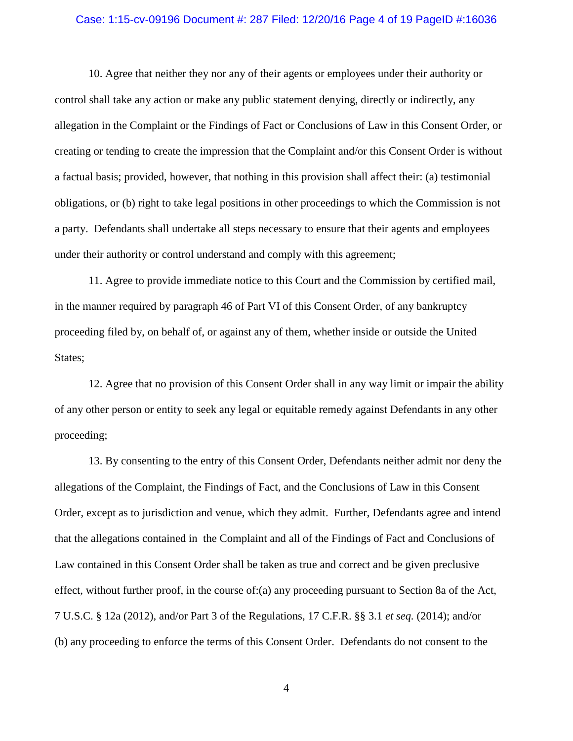#### Case: 1:15-cv-09196 Document #: 287 Filed: 12/20/16 Page 4 of 19 PageID #:16036

10. Agree that neither they nor any of their agents or employees under their authority or control shall take any action or make any public statement denying, directly or indirectly, any allegation in the Complaint or the Findings of Fact or Conclusions of Law in this Consent Order, or creating or tending to create the impression that the Complaint and/or this Consent Order is without a factual basis; provided, however, that nothing in this provision shall affect their: (a) testimonial obligations, or (b) right to take legal positions in other proceedings to which the Commission is not a party. Defendants shall undertake all steps necessary to ensure that their agents and employees under their authority or control understand and comply with this agreement;

11. Agree to provide immediate notice to this Court and the Commission by certified mail, in the manner required by paragraph 46 of Part VI of this Consent Order, of any bankruptcy proceeding filed by, on behalf of, or against any of them, whether inside or outside the United States;

12. Agree that no provision of this Consent Order shall in any way limit or impair the ability of any other person or entity to seek any legal or equitable remedy against Defendants in any other proceeding;

13. By consenting to the entry of this Consent Order, Defendants neither admit nor deny the allegations of the Complaint, the Findings of Fact, and the Conclusions of Law in this Consent Order, except as to jurisdiction and venue, which they admit. Further, Defendants agree and intend that the allegations contained in the Complaint and all of the Findings of Fact and Conclusions of Law contained in this Consent Order shall be taken as true and correct and be given preclusive effect, without further proof, in the course of:(a) any proceeding pursuant to Section 8a of the Act, 7 U.S.C. § 12a (2012), and/or Part 3 of the Regulations, 17 C.F.R. §§ 3.1 *et seq.* (2014); and/or (b) any proceeding to enforce the terms of this Consent Order. Defendants do not consent to the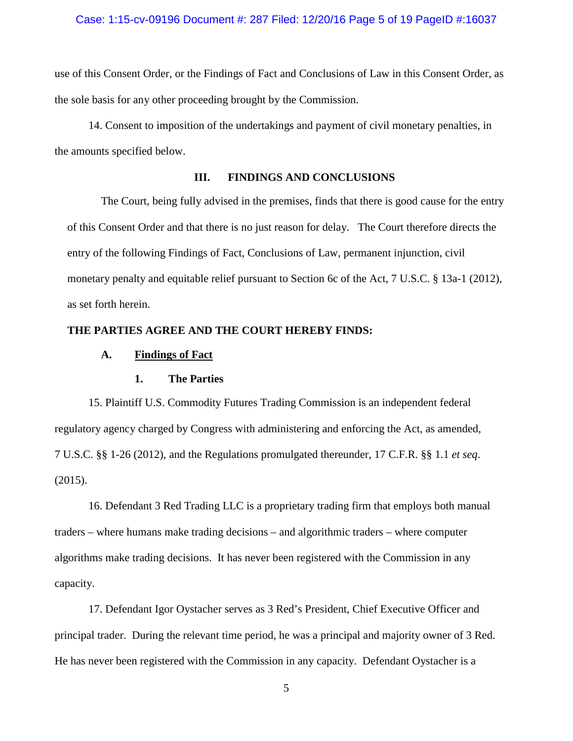### Case: 1:15-cv-09196 Document #: 287 Filed: 12/20/16 Page 5 of 19 PageID #:16037

use of this Consent Order, or the Findings of Fact and Conclusions of Law in this Consent Order, as the sole basis for any other proceeding brought by the Commission.

14. Consent to imposition of the undertakings and payment of civil monetary penalties, in the amounts specified below.

# **III. FINDINGS AND CONCLUSIONS**

The Court, being fully advised in the premises, finds that there is good cause for the entry of this Consent Order and that there is no just reason for delay. The Court therefore directs the entry of the following Findings of Fact, Conclusions of Law, permanent injunction, civil monetary penalty and equitable relief pursuant to Section 6c of the Act, 7 U.S.C. § 13a-1 (2012), as set forth herein.

# **THE PARTIES AGREE AND THE COURT HEREBY FINDS:**

### **A. Findings of Fact**

### **1. The Parties**

15. Plaintiff U.S. Commodity Futures Trading Commission is an independent federal regulatory agency charged by Congress with administering and enforcing the Act, as amended, 7 U.S.C. §§ 1-26 (2012), and the Regulations promulgated thereunder, 17 C.F.R. §§ 1.1 *et seq*. (2015).

16. Defendant 3 Red Trading LLC is a proprietary trading firm that employs both manual traders – where humans make trading decisions – and algorithmic traders – where computer algorithms make trading decisions. It has never been registered with the Commission in any capacity.

17. Defendant Igor Oystacher serves as 3 Red's President, Chief Executive Officer and principal trader. During the relevant time period, he was a principal and majority owner of 3 Red. He has never been registered with the Commission in any capacity. Defendant Oystacher is a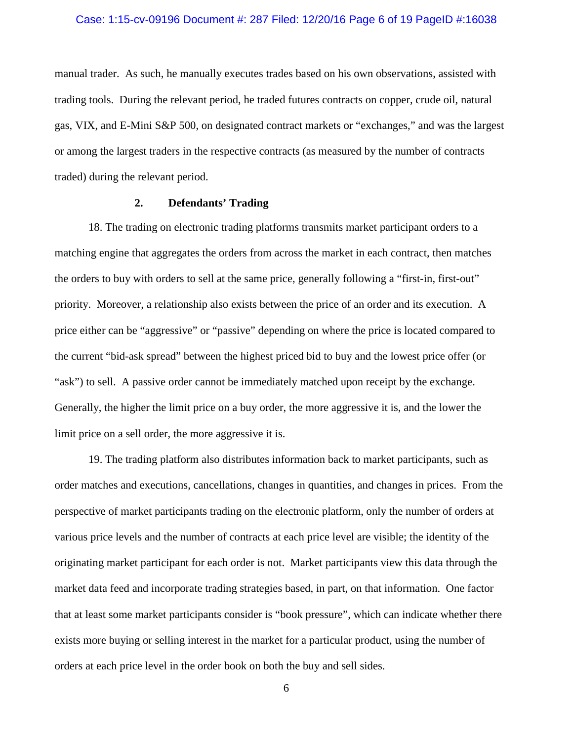### Case: 1:15-cv-09196 Document #: 287 Filed: 12/20/16 Page 6 of 19 PageID #:16038

manual trader. As such, he manually executes trades based on his own observations, assisted with trading tools. During the relevant period, he traded futures contracts on copper, crude oil, natural gas, VIX, and E-Mini S&P 500, on designated contract markets or "exchanges," and was the largest or among the largest traders in the respective contracts (as measured by the number of contracts traded) during the relevant period.

### **2. Defendants' Trading**

18. The trading on electronic trading platforms transmits market participant orders to a matching engine that aggregates the orders from across the market in each contract, then matches the orders to buy with orders to sell at the same price, generally following a "first-in, first-out" priority. Moreover, a relationship also exists between the price of an order and its execution. A price either can be "aggressive" or "passive" depending on where the price is located compared to the current "bid-ask spread" between the highest priced bid to buy and the lowest price offer (or "ask") to sell. A passive order cannot be immediately matched upon receipt by the exchange. Generally, the higher the limit price on a buy order, the more aggressive it is, and the lower the limit price on a sell order, the more aggressive it is.

19. The trading platform also distributes information back to market participants, such as order matches and executions, cancellations, changes in quantities, and changes in prices. From the perspective of market participants trading on the electronic platform, only the number of orders at various price levels and the number of contracts at each price level are visible; the identity of the originating market participant for each order is not. Market participants view this data through the market data feed and incorporate trading strategies based, in part, on that information. One factor that at least some market participants consider is "book pressure", which can indicate whether there exists more buying or selling interest in the market for a particular product, using the number of orders at each price level in the order book on both the buy and sell sides.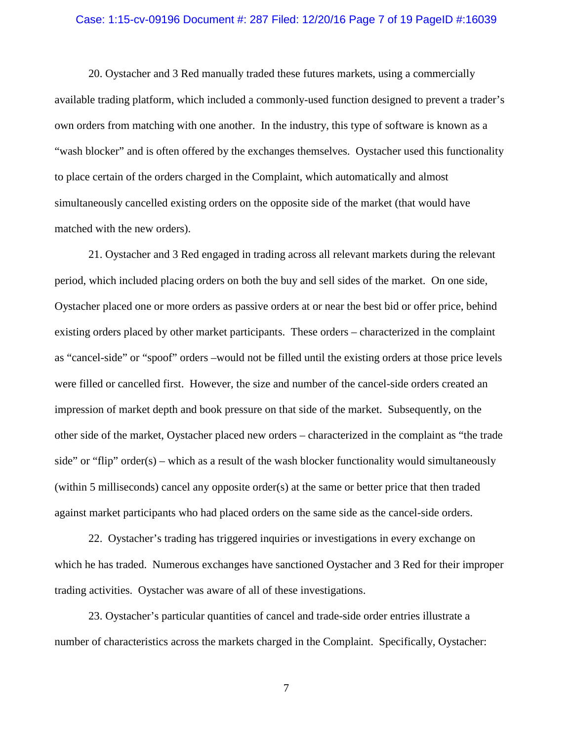#### Case: 1:15-cv-09196 Document #: 287 Filed: 12/20/16 Page 7 of 19 PageID #:16039

20. Oystacher and 3 Red manually traded these futures markets, using a commercially available trading platform, which included a commonly-used function designed to prevent a trader's own orders from matching with one another. In the industry, this type of software is known as a "wash blocker" and is often offered by the exchanges themselves. Oystacher used this functionality to place certain of the orders charged in the Complaint, which automatically and almost simultaneously cancelled existing orders on the opposite side of the market (that would have matched with the new orders).

21. Oystacher and 3 Red engaged in trading across all relevant markets during the relevant period, which included placing orders on both the buy and sell sides of the market. On one side, Oystacher placed one or more orders as passive orders at or near the best bid or offer price, behind existing orders placed by other market participants. These orders – characterized in the complaint as "cancel-side" or "spoof" orders –would not be filled until the existing orders at those price levels were filled or cancelled first. However, the size and number of the cancel-side orders created an impression of market depth and book pressure on that side of the market. Subsequently, on the other side of the market, Oystacher placed new orders – characterized in the complaint as "the trade side" or "flip" order(s) – which as a result of the wash blocker functionality would simultaneously (within 5 milliseconds) cancel any opposite order(s) at the same or better price that then traded against market participants who had placed orders on the same side as the cancel-side orders.

22. Oystacher's trading has triggered inquiries or investigations in every exchange on which he has traded. Numerous exchanges have sanctioned Oystacher and 3 Red for their improper trading activities. Oystacher was aware of all of these investigations.

23. Oystacher's particular quantities of cancel and trade-side order entries illustrate a number of characteristics across the markets charged in the Complaint. Specifically, Oystacher: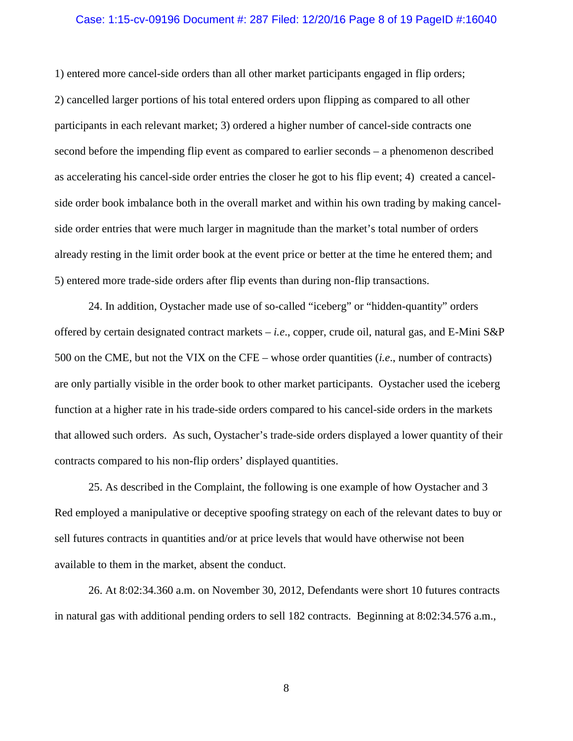#### Case: 1:15-cv-09196 Document #: 287 Filed: 12/20/16 Page 8 of 19 PageID #:16040

1) entered more cancel-side orders than all other market participants engaged in flip orders; 2) cancelled larger portions of his total entered orders upon flipping as compared to all other participants in each relevant market; 3) ordered a higher number of cancel-side contracts one second before the impending flip event as compared to earlier seconds – a phenomenon described as accelerating his cancel-side order entries the closer he got to his flip event; 4) created a cancelside order book imbalance both in the overall market and within his own trading by making cancelside order entries that were much larger in magnitude than the market's total number of orders already resting in the limit order book at the event price or better at the time he entered them; and 5) entered more trade-side orders after flip events than during non-flip transactions.

24. In addition, Oystacher made use of so-called "iceberg" or "hidden-quantity" orders offered by certain designated contract markets – *i.e*., copper, crude oil, natural gas, and E-Mini S&P 500 on the CME, but not the VIX on the CFE – whose order quantities (*i.e*., number of contracts) are only partially visible in the order book to other market participants. Oystacher used the iceberg function at a higher rate in his trade-side orders compared to his cancel-side orders in the markets that allowed such orders. As such, Oystacher's trade-side orders displayed a lower quantity of their contracts compared to his non-flip orders' displayed quantities.

25. As described in the Complaint, the following is one example of how Oystacher and 3 Red employed a manipulative or deceptive spoofing strategy on each of the relevant dates to buy or sell futures contracts in quantities and/or at price levels that would have otherwise not been available to them in the market, absent the conduct.

26. At 8:02:34.360 a.m. on November 30, 2012, Defendants were short 10 futures contracts in natural gas with additional pending orders to sell 182 contracts. Beginning at 8:02:34.576 a.m.,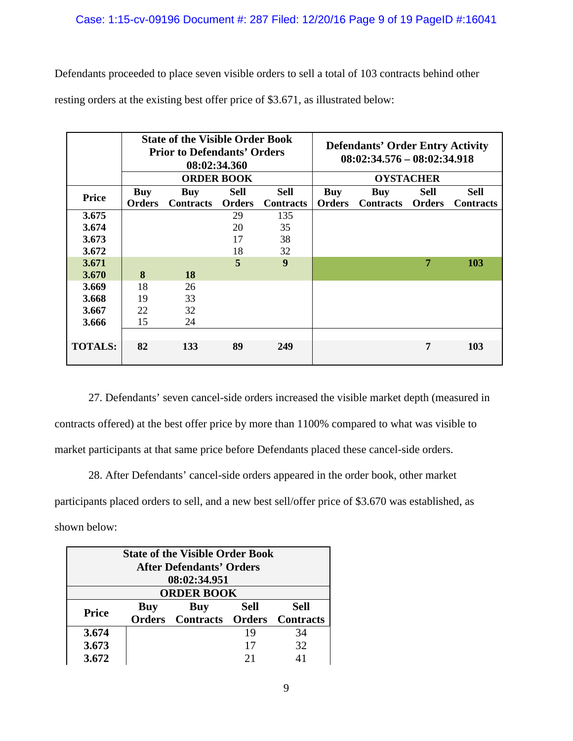Defendants proceeded to place seven visible orders to sell a total of 103 contracts behind other resting orders at the existing best offer price of \$3.671, as illustrated below:

|                | <b>State of the Visible Order Book</b><br><b>Prior to Defendants' Orders</b><br>08:02:34.360 |                  |               |                  |                  | <b>Defendants' Order Entry Activity</b><br>$08:02:34.576 - 08:02:34.918$ |               |                  |
|----------------|----------------------------------------------------------------------------------------------|------------------|---------------|------------------|------------------|--------------------------------------------------------------------------|---------------|------------------|
|                | <b>ORDER BOOK</b>                                                                            |                  |               |                  | <b>OYSTACHER</b> |                                                                          |               |                  |
| <b>Price</b>   | <b>Buy</b>                                                                                   | Buy              | <b>Sell</b>   | <b>Sell</b>      | Buy              | <b>Buy</b>                                                               | Sell          | <b>Sell</b>      |
|                | <b>Orders</b>                                                                                | <b>Contracts</b> | <b>Orders</b> | <b>Contracts</b> | <b>Orders</b>    | <b>Contracts</b>                                                         | <b>Orders</b> | <b>Contracts</b> |
| 3.675          |                                                                                              |                  | 29            | 135              |                  |                                                                          |               |                  |
| 3.674          |                                                                                              |                  | 20            | 35               |                  |                                                                          |               |                  |
| 3.673          |                                                                                              |                  | 17            | 38               |                  |                                                                          |               |                  |
| 3.672          |                                                                                              |                  | 18            | 32               |                  |                                                                          |               |                  |
| 3.671          |                                                                                              |                  | 5             | 9                |                  |                                                                          | 7             | <b>103</b>       |
| 3.670          | 8                                                                                            | 18               |               |                  |                  |                                                                          |               |                  |
| 3.669          | 18                                                                                           | 26               |               |                  |                  |                                                                          |               |                  |
| 3.668          | 19                                                                                           | 33               |               |                  |                  |                                                                          |               |                  |
| 3.667          | 22                                                                                           | 32               |               |                  |                  |                                                                          |               |                  |
| 3.666          | 15                                                                                           | 24               |               |                  |                  |                                                                          |               |                  |
|                |                                                                                              |                  |               |                  |                  |                                                                          |               |                  |
| <b>TOTALS:</b> | 82                                                                                           | 133              | 89            | 249              |                  |                                                                          | 7             | 103              |

27. Defendants' seven cancel-side orders increased the visible market depth (measured in contracts offered) at the best offer price by more than 1100% compared to what was visible to market participants at that same price before Defendants placed these cancel-side orders.

28. After Defendants' cancel-side orders appeared in the order book, other market participants placed orders to sell, and a new best sell/offer price of \$3.670 was established, as shown below:

| <b>State of the Visible Order Book</b> |            |                                |             |                  |  |  |  |
|----------------------------------------|------------|--------------------------------|-------------|------------------|--|--|--|
| <b>After Defendants' Orders</b>        |            |                                |             |                  |  |  |  |
| 08:02:34.951                           |            |                                |             |                  |  |  |  |
| <b>ORDER BOOK</b>                      |            |                                |             |                  |  |  |  |
| <b>Price</b>                           | <b>Buy</b> | Buy                            | <b>Sell</b> | Sell             |  |  |  |
|                                        |            | <b>Orders</b> Contracts Orders |             | <b>Contracts</b> |  |  |  |
| 3.674                                  |            |                                | 19          | 34               |  |  |  |
| 3.673                                  |            |                                | 17          | 32               |  |  |  |
| 3.672                                  |            |                                | 21          |                  |  |  |  |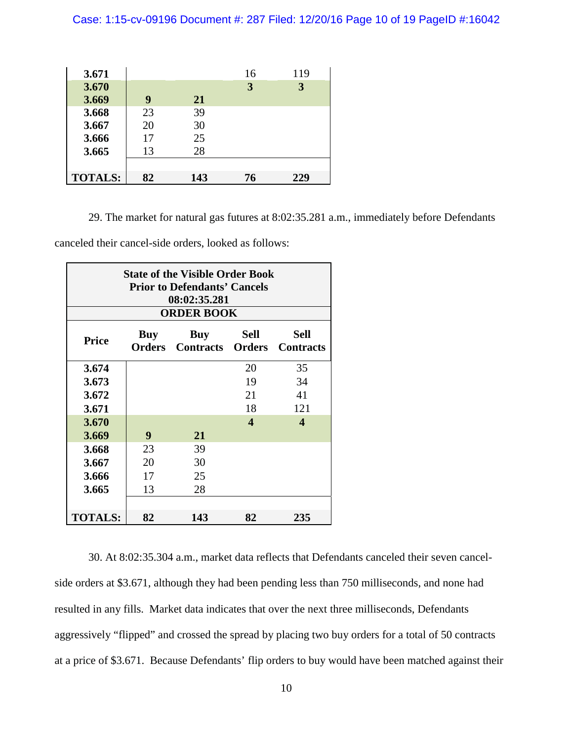Case: 1:15-cv-09196 Document #: 287 Filed: 12/20/16 Page 10 of 19 PageID #:16042

| 3.671          |    |     | 16 | 119 |
|----------------|----|-----|----|-----|
| 3.670          |    |     | 3  | 3   |
| 3.669          | 9  | 21  |    |     |
| 3.668          | 23 | 39  |    |     |
| 3.667          | 20 | 30  |    |     |
| 3.666          | 17 | 25  |    |     |
| 3.665          | 13 | 28  |    |     |
|                |    |     |    |     |
| <b>TOTALS:</b> | 82 | 143 | 76 | 229 |

29. The market for natural gas futures at 8:02:35.281 a.m., immediately before Defendants

canceled their cancel-side orders, looked as follows:

| <b>State of the Visible Order Book</b><br><b>Prior to Defendants' Cancels</b><br>08:02:35.281 |                      |                                       |      |                                 |  |  |  |  |
|-----------------------------------------------------------------------------------------------|----------------------|---------------------------------------|------|---------------------------------|--|--|--|--|
| <b>ORDER BOOK</b>                                                                             |                      |                                       |      |                                 |  |  |  |  |
| <b>Price</b>                                                                                  | Buy<br><b>Orders</b> | <b>Buy</b><br><b>Contracts Orders</b> | Sell | <b>Sell</b><br><b>Contracts</b> |  |  |  |  |
| 3.674                                                                                         |                      |                                       | 20   | 35                              |  |  |  |  |
| 3.673                                                                                         |                      |                                       | 19   | 34                              |  |  |  |  |
| 3.672                                                                                         |                      |                                       | 21   | 41                              |  |  |  |  |
| 3.671                                                                                         |                      |                                       | 18   | 121                             |  |  |  |  |
| 3.670                                                                                         |                      |                                       | 4    | $\overline{\mathbf{4}}$         |  |  |  |  |
| 3.669                                                                                         | 9                    | 21                                    |      |                                 |  |  |  |  |
| 3.668                                                                                         | 23                   | 39                                    |      |                                 |  |  |  |  |
| 3.667                                                                                         | 20                   | 30                                    |      |                                 |  |  |  |  |
| 3.666                                                                                         | 17                   | 25                                    |      |                                 |  |  |  |  |
| 3.665                                                                                         | 13                   | 28                                    |      |                                 |  |  |  |  |
|                                                                                               |                      |                                       |      |                                 |  |  |  |  |
| <b>TOTALS:</b>                                                                                | 82                   | 143                                   | 82   | 235                             |  |  |  |  |

30. At 8:02:35.304 a.m., market data reflects that Defendants canceled their seven cancelside orders at \$3.671, although they had been pending less than 750 milliseconds, and none had resulted in any fills. Market data indicates that over the next three milliseconds, Defendants aggressively "flipped" and crossed the spread by placing two buy orders for a total of 50 contracts at a price of \$3.671. Because Defendants' flip orders to buy would have been matched against their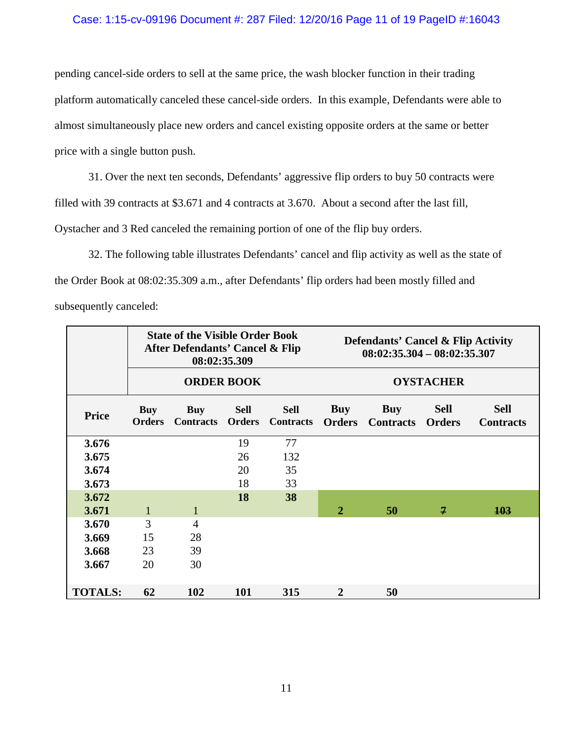## Case: 1:15-cv-09196 Document #: 287 Filed: 12/20/16 Page 11 of 19 PageID #:16043

pending cancel-side orders to sell at the same price, the wash blocker function in their trading platform automatically canceled these cancel-side orders. In this example, Defendants were able to almost simultaneously place new orders and cancel existing opposite orders at the same or better price with a single button push.

31. Over the next ten seconds, Defendants' aggressive flip orders to buy 50 contracts were filled with 39 contracts at \$3.671 and 4 contracts at 3.670. About a second after the last fill, Oystacher and 3 Red canceled the remaining portion of one of the flip buy orders.

32. The following table illustrates Defendants' cancel and flip activity as well as the state of the Order Book at 08:02:35.309 a.m., after Defendants' flip orders had been mostly filled and subsequently canceled:

|                | <b>State of the Visible Order Book</b><br>After Defendants' Cancel & Flip<br>08:02:35.309 |                                |                              |                                 |                             | <b>Defendants' Cancel &amp; Flip Activity</b><br>$08:02:35.304 - 08:02:35.307$ |             |                                 |  |
|----------------|-------------------------------------------------------------------------------------------|--------------------------------|------------------------------|---------------------------------|-----------------------------|--------------------------------------------------------------------------------|-------------|---------------------------------|--|
|                | <b>ORDER BOOK</b>                                                                         |                                |                              |                                 | <b>OYSTACHER</b>            |                                                                                |             |                                 |  |
| <b>Price</b>   | <b>Buy</b><br><b>Orders</b>                                                               | <b>Buy</b><br><b>Contracts</b> | <b>Sell</b><br><b>Orders</b> | <b>Sell</b><br><b>Contracts</b> | <b>Buy</b><br><b>Orders</b> | <b>Buy</b><br><b>Contracts Orders</b>                                          | <b>Sell</b> | <b>Sell</b><br><b>Contracts</b> |  |
| 3.676          |                                                                                           |                                | 19                           | 77                              |                             |                                                                                |             |                                 |  |
| 3.675          |                                                                                           |                                | 26                           | 132                             |                             |                                                                                |             |                                 |  |
| 3.674          |                                                                                           |                                | 20                           | 35                              |                             |                                                                                |             |                                 |  |
| 3.673          |                                                                                           |                                | 18                           | 33                              |                             |                                                                                |             |                                 |  |
| 3.672          |                                                                                           |                                | 18                           | 38                              |                             |                                                                                |             |                                 |  |
| 3.671          | $\mathbf{1}$                                                                              | $\mathbf{1}$                   |                              |                                 | $\mathbf{2}$                | 50                                                                             | 7           | 103                             |  |
| 3.670          | 3                                                                                         | $\overline{4}$                 |                              |                                 |                             |                                                                                |             |                                 |  |
| 3.669          | 15                                                                                        | 28                             |                              |                                 |                             |                                                                                |             |                                 |  |
| 3.668          | 23                                                                                        | 39                             |                              |                                 |                             |                                                                                |             |                                 |  |
| 3.667          | 20                                                                                        | 30                             |                              |                                 |                             |                                                                                |             |                                 |  |
| <b>TOTALS:</b> | 62                                                                                        | 102                            | <b>101</b>                   | 315                             | $\mathbf{2}$                | 50                                                                             |             |                                 |  |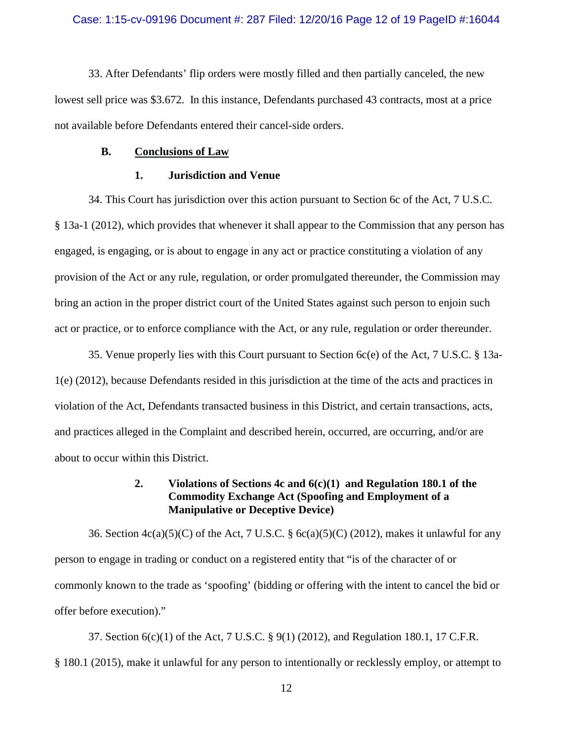33. After Defendants' flip orders were mostly filled and then partially canceled, the new lowest sell price was \$3.672. In this instance, Defendants purchased 43 contracts, most at a price not available before Defendants entered their cancel-side orders.

### **B. Conclusions of Law**

### **1. Jurisdiction and Venue**

34. This Court has jurisdiction over this action pursuant to Section 6c of the Act, 7 U.S.C. § 13a-1 (2012), which provides that whenever it shall appear to the Commission that any person has engaged, is engaging, or is about to engage in any act or practice constituting a violation of any provision of the Act or any rule, regulation, or order promulgated thereunder, the Commission may bring an action in the proper district court of the United States against such person to enjoin such act or practice, or to enforce compliance with the Act, or any rule, regulation or order thereunder.

35. Venue properly lies with this Court pursuant to Section 6c(e) of the Act, 7 U.S.C. § 13a-1(e) (2012), because Defendants resided in this jurisdiction at the time of the acts and practices in violation of the Act, Defendants transacted business in this District, and certain transactions, acts, and practices alleged in the Complaint and described herein, occurred, are occurring, and/or are about to occur within this District.

# **2. Violations of Sections 4c and 6(c)(1) and Regulation 180.1 of the Commodity Exchange Act (Spoofing and Employment of a Manipulative or Deceptive Device)**

36. Section  $4c(a)(5)(C)$  of the Act, 7 U.S.C. § 6c(a)(5)(C) (2012), makes it unlawful for any person to engage in trading or conduct on a registered entity that "is of the character of or commonly known to the trade as 'spoofing' (bidding or offering with the intent to cancel the bid or offer before execution)."

37. Section 6(c)(1) of the Act, 7 U.S.C. § 9(1) (2012), and Regulation 180.1, 17 C.F.R. § 180.1 (2015), make it unlawful for any person to intentionally or recklessly employ, or attempt to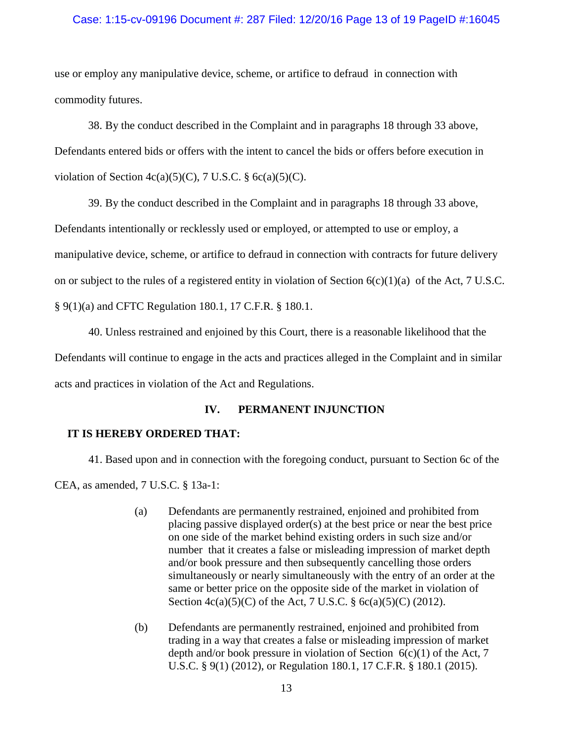### Case: 1:15-cv-09196 Document #: 287 Filed: 12/20/16 Page 13 of 19 PageID #:16045

use or employ any manipulative device, scheme, or artifice to defraud in connection with commodity futures.

38. By the conduct described in the Complaint and in paragraphs 18 through 33 above, Defendants entered bids or offers with the intent to cancel the bids or offers before execution in violation of Section  $4c(a)(5)(C)$ , 7 U.S.C. § 6c(a)(5)(C).

39. By the conduct described in the Complaint and in paragraphs 18 through 33 above, Defendants intentionally or recklessly used or employed, or attempted to use or employ, a manipulative device, scheme, or artifice to defraud in connection with contracts for future delivery on or subject to the rules of a registered entity in violation of Section  $6(c)(1)(a)$  of the Act, 7 U.S.C. § 9(1)(a) and CFTC Regulation 180.1, 17 C.F.R. § 180.1.

40. Unless restrained and enjoined by this Court, there is a reasonable likelihood that the Defendants will continue to engage in the acts and practices alleged in the Complaint and in similar acts and practices in violation of the Act and Regulations.

# **IV. PERMANENT INJUNCTION**

# **IT IS HEREBY ORDERED THAT:**

41. Based upon and in connection with the foregoing conduct, pursuant to Section 6c of the CEA, as amended, 7 U.S.C. § 13a-1:

- (a) Defendants are permanently restrained, enjoined and prohibited from placing passive displayed order(s) at the best price or near the best price on one side of the market behind existing orders in such size and/or number that it creates a false or misleading impression of market depth and/or book pressure and then subsequently cancelling those orders simultaneously or nearly simultaneously with the entry of an order at the same or better price on the opposite side of the market in violation of Section 4c(a)(5)(C) of the Act, 7 U.S.C. § 6c(a)(5)(C) (2012).
- (b) Defendants are permanently restrained, enjoined and prohibited from trading in a way that creates a false or misleading impression of market depth and/or book pressure in violation of Section  $6(c)(1)$  of the Act, 7 U.S.C. § 9(1) (2012), or Regulation 180.1, 17 C.F.R. § 180.1 (2015).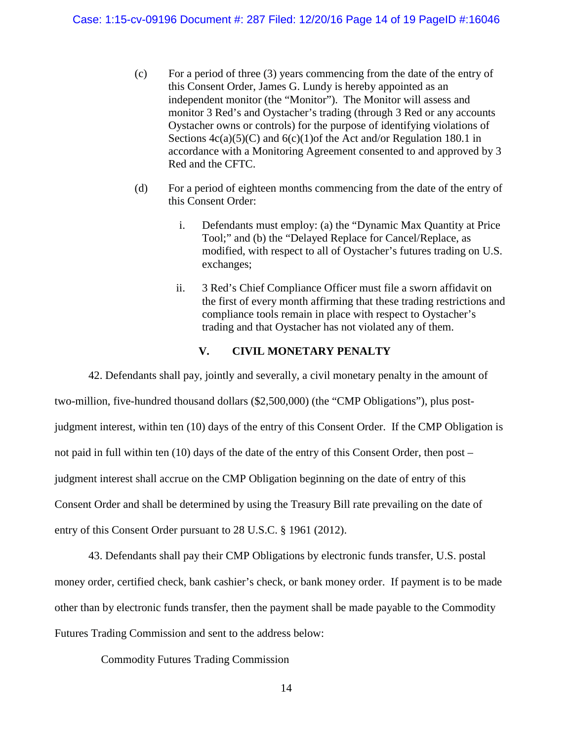- (c) For a period of three (3) years commencing from the date of the entry of this Consent Order, James G. Lundy is hereby appointed as an independent monitor (the "Monitor"). The Monitor will assess and monitor 3 Red's and Oystacher's trading (through 3 Red or any accounts Oystacher owns or controls) for the purpose of identifying violations of Sections  $4c(a)(5)(C)$  and  $6(c)(1)$  of the Act and/or Regulation 180.1 in accordance with a Monitoring Agreement consented to and approved by 3 Red and the CFTC.
- (d) For a period of eighteen months commencing from the date of the entry of this Consent Order:
	- i. Defendants must employ: (a) the "Dynamic Max Quantity at Price Tool;" and (b) the "Delayed Replace for Cancel/Replace, as modified, with respect to all of Oystacher's futures trading on U.S. exchanges;
	- ii. 3 Red's Chief Compliance Officer must file a sworn affidavit on the first of every month affirming that these trading restrictions and compliance tools remain in place with respect to Oystacher's trading and that Oystacher has not violated any of them.

## **V. CIVIL MONETARY PENALTY**

42. Defendants shall pay, jointly and severally, a civil monetary penalty in the amount of two-million, five-hundred thousand dollars (\$2,500,000) (the "CMP Obligations"), plus postjudgment interest, within ten (10) days of the entry of this Consent Order. If the CMP Obligation is not paid in full within ten (10) days of the date of the entry of this Consent Order, then post – judgment interest shall accrue on the CMP Obligation beginning on the date of entry of this Consent Order and shall be determined by using the Treasury Bill rate prevailing on the date of entry of this Consent Order pursuant to 28 U.S.C. § 1961 (2012).

43. Defendants shall pay their CMP Obligations by electronic funds transfer, U.S. postal money order, certified check, bank cashier's check, or bank money order. If payment is to be made other than by electronic funds transfer, then the payment shall be made payable to the Commodity Futures Trading Commission and sent to the address below:

Commodity Futures Trading Commission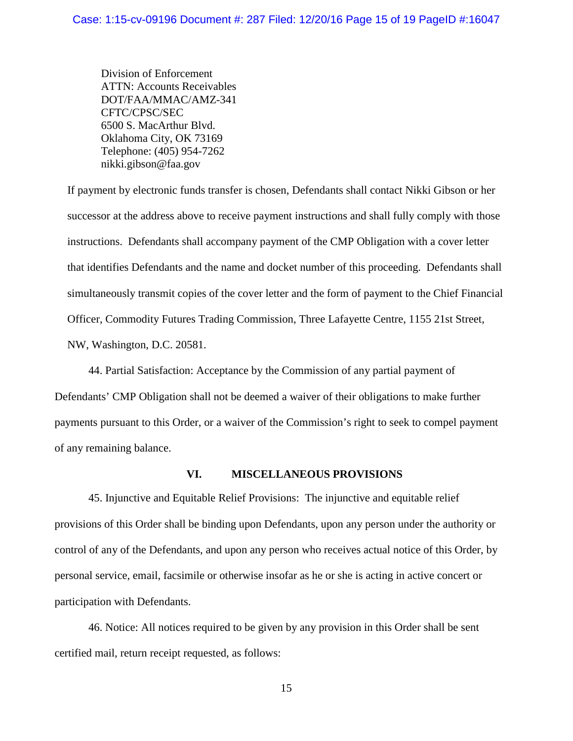Division of Enforcement ATTN: Accounts Receivables DOT/FAA/MMAC/AMZ-341 CFTC/CPSC/SEC 6500 S. MacArthur Blvd. Oklahoma City, OK 73169 Telephone: (405) 954-7262 nikki.gibson@faa.gov

If payment by electronic funds transfer is chosen, Defendants shall contact Nikki Gibson or her successor at the address above to receive payment instructions and shall fully comply with those instructions. Defendants shall accompany payment of the CMP Obligation with a cover letter that identifies Defendants and the name and docket number of this proceeding. Defendants shall simultaneously transmit copies of the cover letter and the form of payment to the Chief Financial Officer, Commodity Futures Trading Commission, Three Lafayette Centre, 1155 21st Street, NW, Washington, D.C. 20581.

44. Partial Satisfaction: Acceptance by the Commission of any partial payment of Defendants' CMP Obligation shall not be deemed a waiver of their obligations to make further payments pursuant to this Order, or a waiver of the Commission's right to seek to compel payment of any remaining balance.

### **VI. MISCELLANEOUS PROVISIONS**

45. Injunctive and Equitable Relief Provisions: The injunctive and equitable relief provisions of this Order shall be binding upon Defendants, upon any person under the authority or control of any of the Defendants, and upon any person who receives actual notice of this Order, by personal service, email, facsimile or otherwise insofar as he or she is acting in active concert or participation with Defendants.

46. Notice: All notices required to be given by any provision in this Order shall be sent certified mail, return receipt requested, as follows: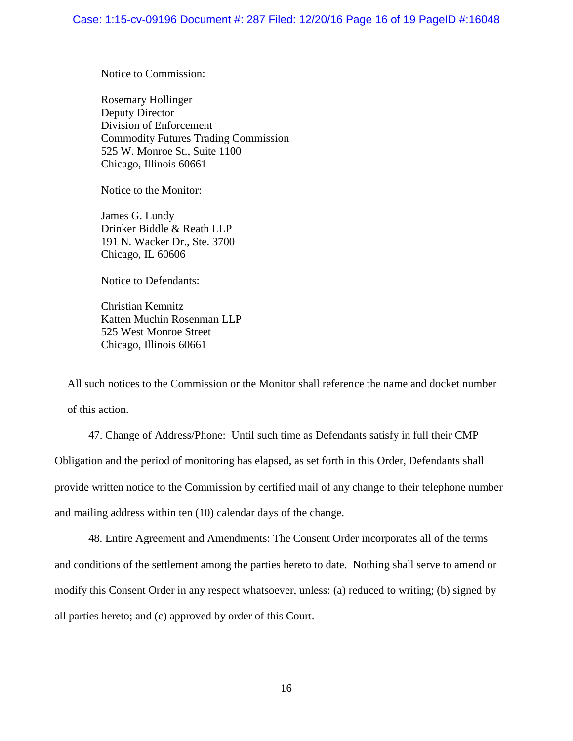Notice to Commission:

Rosemary Hollinger Deputy Director Division of Enforcement Commodity Futures Trading Commission 525 W. Monroe St., Suite 1100 Chicago, Illinois 60661

Notice to the Monitor:

James G. Lundy Drinker Biddle & Reath LLP 191 N. Wacker Dr., Ste. 3700 Chicago, IL 60606

Notice to Defendants:

Christian Kemnitz Katten Muchin Rosenman LLP 525 West Monroe Street Chicago, Illinois 60661

All such notices to the Commission or the Monitor shall reference the name and docket number of this action.

47. Change of Address/Phone: Until such time as Defendants satisfy in full their CMP Obligation and the period of monitoring has elapsed, as set forth in this Order, Defendants shall provide written notice to the Commission by certified mail of any change to their telephone number and mailing address within ten (10) calendar days of the change.

48. Entire Agreement and Amendments: The Consent Order incorporates all of the terms and conditions of the settlement among the parties hereto to date. Nothing shall serve to amend or modify this Consent Order in any respect whatsoever, unless: (a) reduced to writing; (b) signed by all parties hereto; and (c) approved by order of this Court.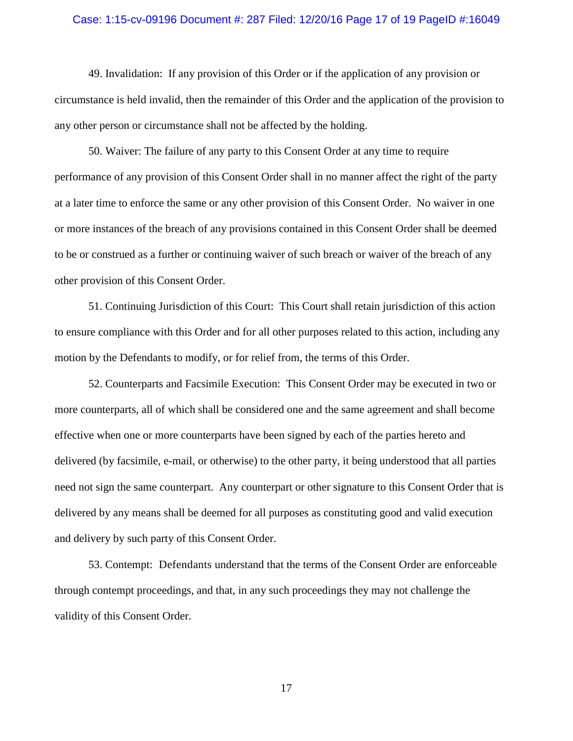#### Case: 1:15-cv-09196 Document #: 287 Filed: 12/20/16 Page 17 of 19 PageID #:16049

49. Invalidation: If any provision of this Order or if the application of any provision or circumstance is held invalid, then the remainder of this Order and the application of the provision to any other person or circumstance shall not be affected by the holding.

50. Waiver: The failure of any party to this Consent Order at any time to require performance of any provision of this Consent Order shall in no manner affect the right of the party at a later time to enforce the same or any other provision of this Consent Order. No waiver in one or more instances of the breach of any provisions contained in this Consent Order shall be deemed to be or construed as a further or continuing waiver of such breach or waiver of the breach of any other provision of this Consent Order.

51. Continuing Jurisdiction of this Court: This Court shall retain jurisdiction of this action to ensure compliance with this Order and for all other purposes related to this action, including any motion by the Defendants to modify, or for relief from, the terms of this Order.

52. Counterparts and Facsimile Execution: This Consent Order may be executed in two or more counterparts, all of which shall be considered one and the same agreement and shall become effective when one or more counterparts have been signed by each of the parties hereto and delivered (by facsimile, e-mail, or otherwise) to the other party, it being understood that all parties need not sign the same counterpart. Any counterpart or other signature to this Consent Order that is delivered by any means shall be deemed for all purposes as constituting good and valid execution and delivery by such party of this Consent Order.

53. Contempt: Defendants understand that the terms of the Consent Order are enforceable through contempt proceedings, and that, in any such proceedings they may not challenge the validity of this Consent Order.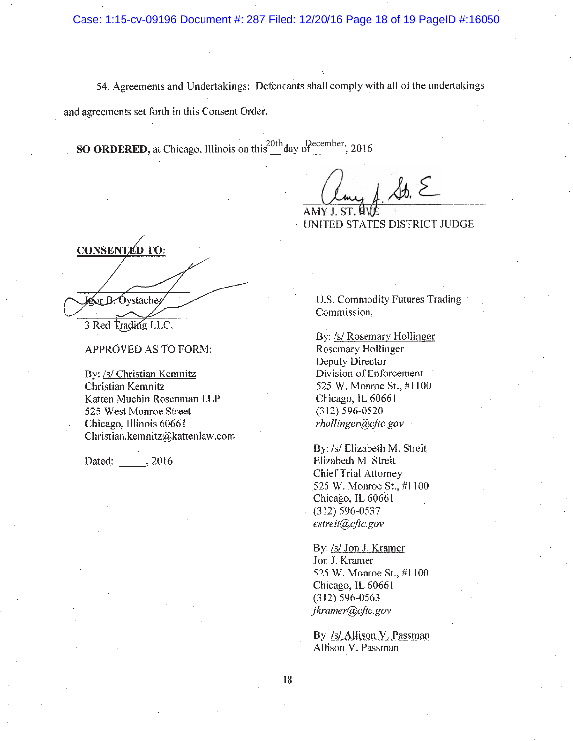Case: 1:15-cv-09196 Document #: 287 Filed: 12/20/16 Page 18 of 19 PageID #:16050

54. Agreements and Undertakings: Defendants shall comply with all of the undertakings

and agreements set forth in this Consent Order.

**SO ORDERED,** at Chicago, Illinois on this  $\frac{20 \text{th}}{4}$  day of  $\frac{\text{December}}{4}$ , 2016

 $\mathcal{A}b.$   $\epsilon$ AMY J. ST. UVJ

UNITED STATES DISTRICT JUDGE

**CONSENTED TO:** Leor B. Oystacher

APPROVED AS TO FORM:

By: /s/ Christian Kemnitz Christian Kemnitz Katten Muchin Rosenman LLP 525 West Monroe Street Chicago, Illinois 60661 Christian.kemnitz@kattenlaw.com

Dated: , 2016

U.S. Commodity Futures Trading Commission,

By: /s/ Rosemary Hollinger Rosemary Hollinger Deputy Director Division of Enforcement 525 W. Monroe St., #1100 Chicago, IL 60661  $(312) 596 - 0520$ rhollinger@cftc.gov

By: /s/ Elizabeth M. Streit Elizabeth M. Streit Chief Trial Attorney 525 W. Monroe St., #1100 Chicago, IL 60661  $(312) 596 - 0537$ estreit@cftc.gov

By: /s/ Jon J. Kramer Jon J. Kramer 525 W. Monroe St., #1100 Chicago, IL 60661  $(312) 596 - 0563$ jkramer@cftc.gov

By: /s/ Allison V. Passman Allison V. Passman

<sup>3</sup> Red Trading LLC,